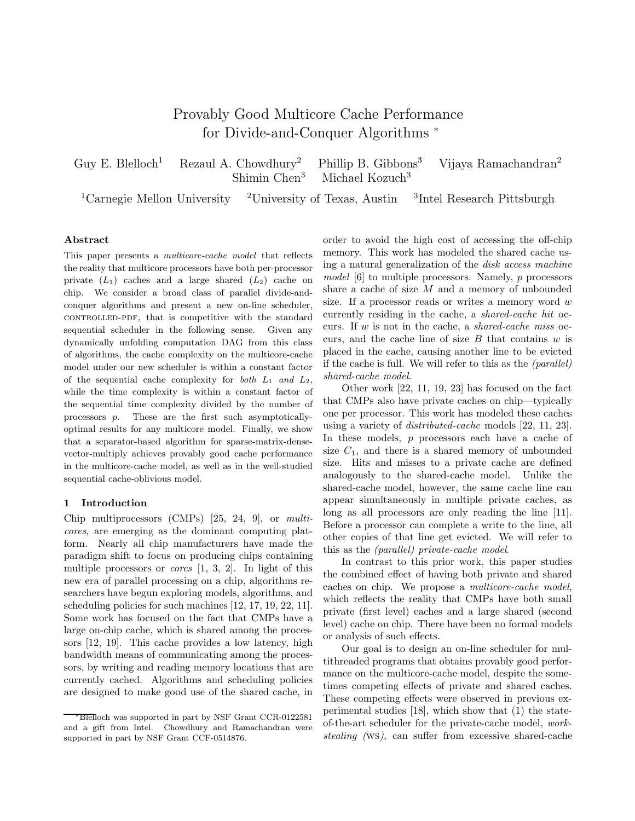# Provably Good Multicore Cache Performance for Divide-and-Conquer Algorithms <sup>\*</sup>

Guy E. Blelloch<sup>1</sup> Rezaul A. Chowdhury<sup>2</sup> Phillip B. Gibbons<sup>3</sup> Vijaya Ramachandran<sup>2</sup> Shimin Chen<sup>3</sup> Michael Kozuch<sup>3</sup>

<sup>1</sup>Carnegie Mellon University <sup>2</sup>University of Texas, Austin <sup>3</sup>Intel Research Pittsburgh

#### Abstract

This paper presents a multicore-cache model that reflects the reality that multicore processors have both per-processor private  $(L_1)$  caches and a large shared  $(L_2)$  cache on chip. We consider a broad class of parallel divide-andconquer algorithms and present a new on-line scheduler, controlled-pdf, that is competitive with the standard sequential scheduler in the following sense. Given any dynamically unfolding computation DAG from this class of algorithms, the cache complexity on the multicore-cache model under our new scheduler is within a constant factor of the sequential cache complexity for both  $L_1$  and  $L_2$ , while the time complexity is within a constant factor of the sequential time complexity divided by the number of processors p. These are the first such asymptoticallyoptimal results for any multicore model. Finally, we show that a separator-based algorithm for sparse-matrix-densevector-multiply achieves provably good cache performance in the multicore-cache model, as well as in the well-studied sequential cache-oblivious model.

### 1 Introduction

Chip multiprocessors (CMPs) [25, 24, 9], or multicores, are emerging as the dominant computing platform. Nearly all chip manufacturers have made the paradigm shift to focus on producing chips containing multiple processors or *cores*  $[1, 3, 2]$ . In light of this new era of parallel processing on a chip, algorithms researchers have begun exploring models, algorithms, and scheduling policies for such machines [12, 17, 19, 22, 11]. Some work has focused on the fact that CMPs have a large on-chip cache, which is shared among the processors [12, 19]. This cache provides a low latency, high bandwidth means of communicating among the processors, by writing and reading memory locations that are currently cached. Algorithms and scheduling policies are designed to make good use of the shared cache, in order to avoid the high cost of accessing the off-chip memory. This work has modeled the shared cache using a natural generalization of the disk access machine model [6] to multiple processors. Namely, p processors share a cache of size  $M$  and a memory of unbounded size. If a processor reads or writes a memory word w currently residing in the cache, a shared-cache hit occurs. If  $w$  is not in the cache, a shared-cache miss occurs, and the cache line of size  $B$  that contains  $w$  is placed in the cache, causing another line to be evicted if the cache is full. We will refer to this as the (parallel) shared-cache model.

Other work [22, 11, 19, 23] has focused on the fact that CMPs also have private caches on chip—typically one per processor. This work has modeled these caches using a variety of distributed-cache models [22, 11, 23]. In these models,  $p$  processors each have a cache of size  $C_1$ , and there is a shared memory of unbounded size. Hits and misses to a private cache are defined analogously to the shared-cache model. Unlike the shared-cache model, however, the same cache line can appear simultaneously in multiple private caches, as long as all processors are only reading the line [11]. Before a processor can complete a write to the line, all other copies of that line get evicted. We will refer to this as the (parallel) private-cache model.

In contrast to this prior work, this paper studies the combined effect of having both private and shared caches on chip. We propose a multicore-cache model, which reflects the reality that CMPs have both small private (first level) caches and a large shared (second level) cache on chip. There have been no formal models or analysis of such effects.

Our goal is to design an on-line scheduler for multithreaded programs that obtains provably good performance on the multicore-cache model, despite the sometimes competing effects of private and shared caches. These competing effects were observed in previous experimental studies [18], which show that (1) the stateof-the-art scheduler for the private-cache model, workstealing (ws), can suffer from excessive shared-cache

<sup>∗</sup>Blelloch was supported in part by NSF Grant CCR-0122581 and a gift from Intel. Chowdhury and Ramachandran were supported in part by NSF Grant CCF-0514876.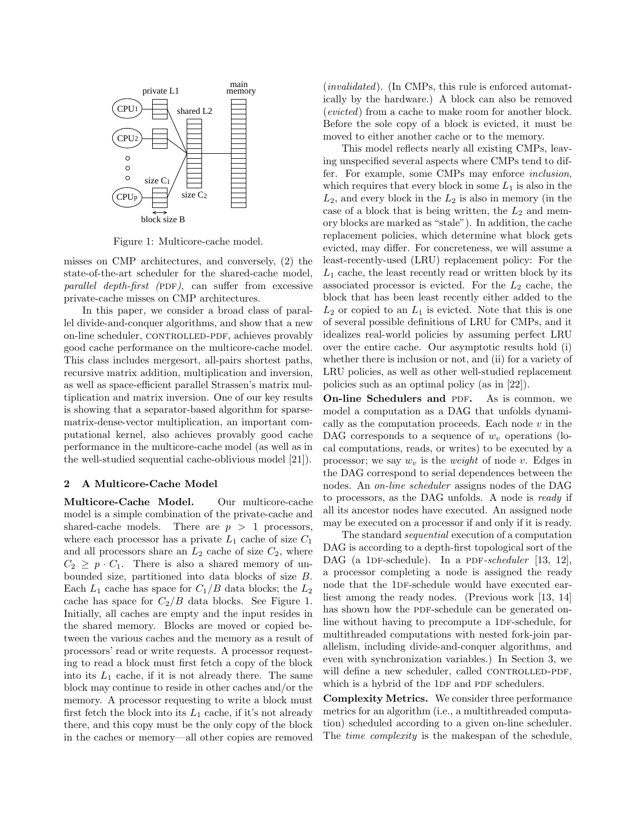

Figure 1: Multicore-cache model.

misses on CMP architectures, and conversely, (2) the state-of-the-art scheduler for the shared-cache model, parallel depth-first (PDF), can suffer from excessive private-cache misses on CMP architectures.

In this paper, we consider a broad class of parallel divide-and-conquer algorithms, and show that a new on-line scheduler, CONTROLLED-PDF, achieves provably good cache performance on the multicore-cache model. This class includes mergesort, all-pairs shortest paths, recursive matrix addition, multiplication and inversion, as well as space-efficient parallel Strassen's matrix multiplication and matrix inversion. One of our key results is showing that a separator-based algorithm for sparsematrix-dense-vector multiplication, an important computational kernel, also achieves provably good cache performance in the multicore-cache model (as well as in the well-studied sequential cache-oblivious model [21]).

# 2 A Multicore-Cache Model

Multicore-Cache Model. Our multicore-cache model is a simple combination of the private-cache and shared-cache models. There are  $p > 1$  processors, where each processor has a private  $L_1$  cache of size  $C_1$ and all processors share an  $L_2$  cache of size  $C_2$ , where  $C_2 \geq p \cdot C_1$ . There is also a shared memory of unbounded size, partitioned into data blocks of size B. Each  $L_1$  cache has space for  $C_1/B$  data blocks; the  $L_2$ cache has space for  $C_2/B$  data blocks. See Figure 1. Initially, all caches are empty and the input resides in the shared memory. Blocks are moved or copied between the various caches and the memory as a result of processors' read or write requests. A processor requesting to read a block must first fetch a copy of the block into its  $L_1$  cache, if it is not already there. The same block may continue to reside in other caches and/or the memory. A processor requesting to write a block must first fetch the block into its  $L_1$  cache, if it's not already there, and this copy must be the only copy of the block in the caches or memory—all other copies are removed

(invalidated). (In CMPs, this rule is enforced automatically by the hardware.) A block can also be removed (evicted) from a cache to make room for another block. Before the sole copy of a block is evicted, it must be moved to either another cache or to the memory.

This model reflects nearly all existing CMPs, leaving unspecified several aspects where CMPs tend to differ. For example, some CMPs may enforce inclusion, which requires that every block in some  $L_1$  is also in the  $L_2$ , and every block in the  $L_2$  is also in memory (in the case of a block that is being written, the  $L_2$  and memory blocks are marked as "stale"). In addition, the cache replacement policies, which determine what block gets evicted, may differ. For concreteness, we will assume a least-recently-used (LRU) replacement policy: For the  $L_1$  cache, the least recently read or written block by its associated processor is evicted. For the  $L_2$  cache, the block that has been least recently either added to the  $L_2$  or copied to an  $L_1$  is evicted. Note that this is one of several possible definitions of LRU for CMPs, and it idealizes real-world policies by assuming perfect LRU over the entire cache. Our asymptotic results hold (i) whether there is inclusion or not, and (ii) for a variety of LRU policies, as well as other well-studied replacement policies such as an optimal policy (as in [22]).

On-line Schedulers and PDF. As is common, we model a computation as a DAG that unfolds dynamically as the computation proceeds. Each node  $v$  in the DAG corresponds to a sequence of  $w<sub>v</sub>$  operations (local computations, reads, or writes) to be executed by a processor; we say  $w_v$  is the *weight* of node v. Edges in the DAG correspond to serial dependences between the nodes. An on-line scheduler assigns nodes of the DAG to processors, as the DAG unfolds. A node is ready if all its ancestor nodes have executed. An assigned node may be executed on a processor if and only if it is ready.

The standard sequential execution of a computation DAG is according to a depth-first topological sort of the DAG (a 1DF-schedule). In a PDF-scheduler  $[13, 12]$ , a processor completing a node is assigned the ready node that the 1DF-schedule would have executed earliest among the ready nodes. (Previous work [13, 14] has shown how the PDF-schedule can be generated online without having to precompute a 1DF-schedule, for multithreaded computations with nested fork-join parallelism, including divide-and-conquer algorithms, and even with synchronization variables.) In Section 3, we will define a new scheduler, called CONTROLLED-PDF, which is a hybrid of the 1DF and PDF schedulers.

Complexity Metrics. We consider three performance metrics for an algorithm (i.e., a multithreaded computation) scheduled according to a given on-line scheduler. The time complexity is the makespan of the schedule,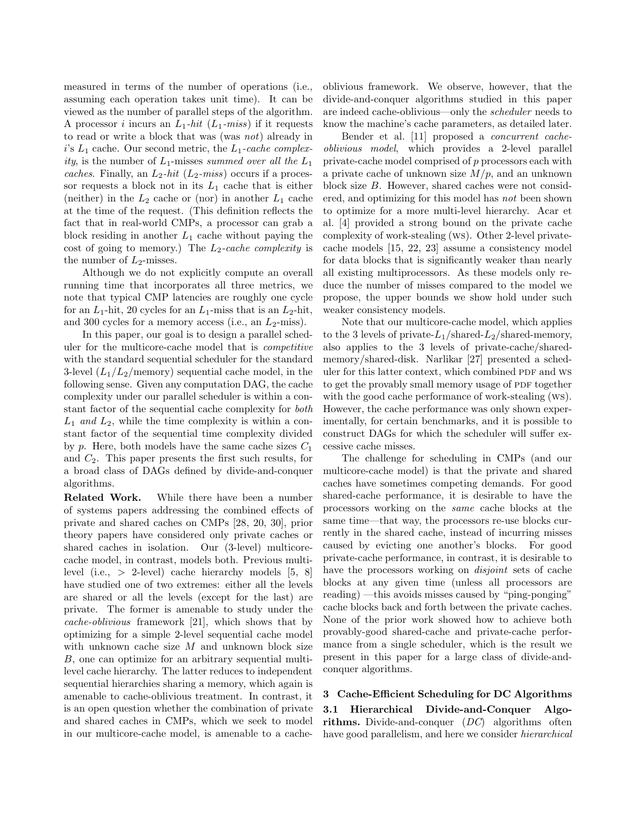measured in terms of the number of operations (i.e., assuming each operation takes unit time). It can be viewed as the number of parallel steps of the algorithm. A processor *i* incurs an  $L_1$ -hit ( $L_1$ -miss) if it requests to read or write a block that was (was not) already in i's  $L_1$  cache. Our second metric, the  $L_1$ -cache complexity, is the number of  $L_1$ -misses summed over all the  $L_1$ caches. Finally, an  $L_2$ -hit ( $L_2$ -miss) occurs if a processor requests a block not in its  $L_1$  cache that is either (neither) in the  $L_2$  cache or (nor) in another  $L_1$  cache at the time of the request. (This definition reflects the fact that in real-world CMPs, a processor can grab a block residing in another  $L_1$  cache without paying the cost of going to memory.) The  $L_2\text{-}cache\ complexity$  is the number of  $L_2$ -misses.

Although we do not explicitly compute an overall running time that incorporates all three metrics, we note that typical CMP latencies are roughly one cycle for an  $L_1$ -hit, 20 cycles for an  $L_1$ -miss that is an  $L_2$ -hit, and 300 cycles for a memory access (i.e., an  $L_2$ -miss).

In this paper, our goal is to design a parallel scheduler for the multicore-cache model that is competitive with the standard sequential scheduler for the standard 3-level  $(L_1/L_2/memory)$  sequential cache model, in the following sense. Given any computation DAG, the cache complexity under our parallel scheduler is within a constant factor of the sequential cache complexity for both  $L_1$  and  $L_2$ , while the time complexity is within a constant factor of the sequential time complexity divided by p. Here, both models have the same cache sizes  $C_1$ and  $C_2$ . This paper presents the first such results, for a broad class of DAGs defined by divide-and-conquer algorithms.

Related Work. While there have been a number of systems papers addressing the combined effects of private and shared caches on CMPs [28, 20, 30], prior theory papers have considered only private caches or shared caches in isolation. Our (3-level) multicorecache model, in contrast, models both. Previous multilevel (i.e., > 2-level) cache hierarchy models [5, 8] have studied one of two extremes: either all the levels are shared or all the levels (except for the last) are private. The former is amenable to study under the cache-oblivious framework [21], which shows that by optimizing for a simple 2-level sequential cache model with unknown cache size M and unknown block size B, one can optimize for an arbitrary sequential multilevel cache hierarchy. The latter reduces to independent sequential hierarchies sharing a memory, which again is amenable to cache-oblivious treatment. In contrast, it is an open question whether the combination of private and shared caches in CMPs, which we seek to model in our multicore-cache model, is amenable to a cacheoblivious framework. We observe, however, that the divide-and-conquer algorithms studied in this paper are indeed cache-oblivious—only the scheduler needs to know the machine's cache parameters, as detailed later.

Bender et al. [11] proposed a concurrent cacheoblivious model, which provides a 2-level parallel private-cache model comprised of p processors each with a private cache of unknown size  $M/p$ , and an unknown block size B. However, shared caches were not considered, and optimizing for this model has not been shown to optimize for a more multi-level hierarchy. Acar et al. [4] provided a strong bound on the private cache complexity of work-stealing (ws). Other 2-level privatecache models [15, 22, 23] assume a consistency model for data blocks that is significantly weaker than nearly all existing multiprocessors. As these models only reduce the number of misses compared to the model we propose, the upper bounds we show hold under such weaker consistency models.

Note that our multicore-cache model, which applies to the 3 levels of private- $L_1$ /shared- $L_2$ /shared-memory, also applies to the 3 levels of private-cache/sharedmemory/shared-disk. Narlikar [27] presented a scheduler for this latter context, which combined PDF and WS to get the provably small memory usage of PDF together with the good cache performance of work-stealing (ws). However, the cache performance was only shown experimentally, for certain benchmarks, and it is possible to construct DAGs for which the scheduler will suffer excessive cache misses.

The challenge for scheduling in CMPs (and our multicore-cache model) is that the private and shared caches have sometimes competing demands. For good shared-cache performance, it is desirable to have the processors working on the same cache blocks at the same time—that way, the processors re-use blocks currently in the shared cache, instead of incurring misses caused by evicting one another's blocks. For good private-cache performance, in contrast, it is desirable to have the processors working on disjoint sets of cache blocks at any given time (unless all processors are reading) —this avoids misses caused by "ping-ponging" cache blocks back and forth between the private caches. None of the prior work showed how to achieve both provably-good shared-cache and private-cache performance from a single scheduler, which is the result we present in this paper for a large class of divide-andconquer algorithms.

3 Cache-Efficient Scheduling for DC Algorithms 3.1 Hierarchical Divide-and-Conquer Algorithms. Divide-and-conquer (DC) algorithms often have good parallelism, and here we consider hierarchical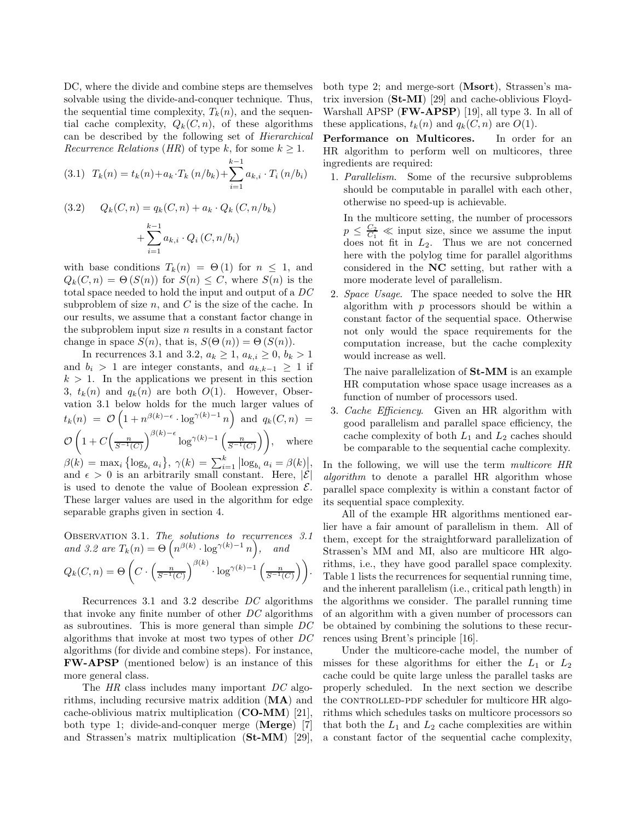DC, where the divide and combine steps are themselves solvable using the divide-and-conquer technique. Thus, the sequential time complexity,  $T_k(n)$ , and the sequential cache complexity,  $Q_k(C, n)$ , of these algorithms can be described by the following set of Hierarchical Recurrence Relations (HR) of type k, for some  $k \geq 1$ .

(3.1) 
$$
T_k(n) = t_k(n) + a_k \cdot T_k(n/b_k) + \sum_{i=1}^{k-1} a_{k,i} \cdot T_i(n/b_i)
$$

(3.2) 
$$
Q_k(C, n) = q_k(C, n) + a_k \cdot Q_k(C, n/b_k) + \sum_{i=1}^{k-1} a_{k,i} \cdot Q_i(C, n/b_i)
$$

with base conditions  $T_k(n) = \Theta(1)$  for  $n \leq 1$ , and  $Q_k(C, n) = \Theta(S(n))$  for  $S(n) \leq C$ , where  $S(n)$  is the total space needed to hold the input and output of a DC subproblem of size  $n$ , and  $C$  is the size of the cache. In our results, we assume that a constant factor change in the subproblem input size  $n$  results in a constant factor change in space  $S(n)$ , that is,  $S(\Theta(n)) = \Theta(S(n))$ .

In recurrences 3.1 and 3.2,  $a_k \ge 1$ ,  $a_{k,i} \ge 0$ ,  $b_k > 1$ and  $b_i > 1$  are integer constants, and  $a_{k,k-1} \geq 1$  if  $k > 1$ . In the applications we present in this section 3,  $t_k(n)$  and  $q_k(n)$  are both  $O(1)$ . However, Observation 3.1 below holds for the much larger values of  $t_k(n) = \mathcal{O}\left(1 + n^{\beta(k)-\epsilon} \cdot \log^{\gamma(k)-1} n\right)$  and  $q_k(C, n) =$  $\circ$  $\left(1+C\left(\frac{n}{S^{-1}(C)}\right)^{\beta(k)-\epsilon}\log^{\gamma(k)-1}\left(\frac{n}{S^{-1}(C)}\right)\right)$ , where  $\beta(k) = \max_i \left\{ \log_{b_i} a_i \right\}, \gamma(k) = \sum_{i=1}^k \left| \log_{b_i} a_i = \beta(k) \right|,$ and  $\epsilon > 0$  is an arbitrarily small constant. Here,  $|\mathcal{E}|$ is used to denote the value of Boolean expression  $\mathcal{E}$ . These larger values are used in the algorithm for edge separable graphs given in section 4.

OBSERVATION 3.1. The solutions to recurrences 3.1  
and 3.2 are 
$$
T_k(n) = \Theta\left(n^{\beta(k)} \cdot \log^{\gamma(k)-1} n\right)
$$
, and  
 $Q_k(C, n) = \Theta\left(C \cdot \left(\frac{n}{S^{-1}(C)}\right)^{\beta(k)} \cdot \log^{\gamma(k)-1}\left(\frac{n}{S^{-1}(C)}\right)\right)$ .

Recurrences 3.1 and 3.2 describe DC algorithms that invoke any finite number of other DC algorithms as subroutines. This is more general than simple DC algorithms that invoke at most two types of other DC algorithms (for divide and combine steps). For instance, FW-APSP (mentioned below) is an instance of this more general class.

The HR class includes many important DC algorithms, including recursive matrix addition (MA) and cache-oblivious matrix multiplication (CO-MM) [21], both type 1; divide-and-conquer merge (Merge) [7] and Strassen's matrix multiplication (St-MM) [29], both type 2; and merge-sort (Msort), Strassen's matrix inversion (St-MI) [29] and cache-oblivious Floyd-Warshall APSP  $(FW-APSP)$  [19], all type 3. In all of these applications,  $t_k(n)$  and  $q_k(C, n)$  are  $O(1)$ .

Performance on Multicores. In order for an HR algorithm to perform well on multicores, three ingredients are required:

1. Parallelism. Some of the recursive subproblems should be computable in parallel with each other, otherwise no speed-up is achievable.

In the multicore setting, the number of processors  $p \leq \frac{C_2}{C_1} \ll$  input size, since we assume the input does not fit in  $L_2$ . Thus we are not concerned here with the polylog time for parallel algorithms considered in the NC setting, but rather with a more moderate level of parallelism.

2. Space Usage. The space needed to solve the HR algorithm with  $p$  processors should be within a constant factor of the sequential space. Otherwise not only would the space requirements for the computation increase, but the cache complexity would increase as well.

The naive parallelization of St-MM is an example HR computation whose space usage increases as a function of number of processors used.

3. Cache Efficiency. Given an HR algorithm with good parallelism and parallel space efficiency, the cache complexity of both  $L_1$  and  $L_2$  caches should be comparable to the sequential cache complexity.

In the following, we will use the term *multicore HR* algorithm to denote a parallel HR algorithm whose parallel space complexity is within a constant factor of its sequential space complexity.

All of the example HR algorithms mentioned earlier have a fair amount of parallelism in them. All of them, except for the straightforward parallelization of Strassen's MM and MI, also are multicore HR algorithms, i.e., they have good parallel space complexity. Table 1 lists the recurrences for sequential running time, and the inherent parallelism (i.e., critical path length) in the algorithms we consider. The parallel running time of an algorithm with a given number of processors can be obtained by combining the solutions to these recurrences using Brent's principle [16].

Under the multicore-cache model, the number of misses for these algorithms for either the  $L_1$  or  $L_2$ cache could be quite large unless the parallel tasks are properly scheduled. In the next section we describe the CONTROLLED-PDF scheduler for multicore HR algorithms which schedules tasks on multicore processors so that both the  $L_1$  and  $L_2$  cache complexities are within a constant factor of the sequential cache complexity,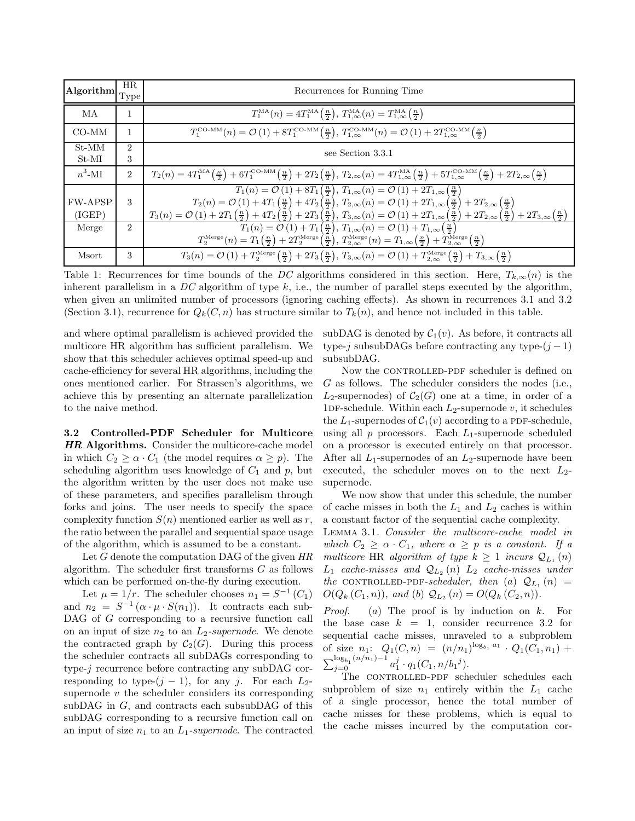| $ \textbf{Algorithm} \text{Type} $ | HR.                         | Recurrences for Running Time                                                                                                                                                                                                                                                                                                                                                                                                                                                                                                                                  |  |  |  |  |  |
|------------------------------------|-----------------------------|---------------------------------------------------------------------------------------------------------------------------------------------------------------------------------------------------------------------------------------------------------------------------------------------------------------------------------------------------------------------------------------------------------------------------------------------------------------------------------------------------------------------------------------------------------------|--|--|--|--|--|
| МA                                 |                             | $T_1^{\text{MA}}(n) = 4T_1^{\text{MA}}\left(\frac{n}{2}\right), T_{1,\infty}^{\text{MA}}(n) = T_{1,\infty}^{\text{MA}}\left(\frac{n}{2}\right)$                                                                                                                                                                                                                                                                                                                                                                                                               |  |  |  |  |  |
| CO-MM                              |                             | $T_1^{\text{CO-MM}}(n) = \mathcal{O}(1) + 8T_1^{\text{CO-MM}}(\frac{n}{2}), T_{1,\infty}^{\text{CO-MM}}(n) = \mathcal{O}(1) + 2T_{1,\infty}^{\text{CO-MM}}(\frac{n}{2})$                                                                                                                                                                                                                                                                                                                                                                                      |  |  |  |  |  |
| St-MM<br>$St-MI$                   | 2<br>3                      | see Section 3.3.1                                                                                                                                                                                                                                                                                                                                                                                                                                                                                                                                             |  |  |  |  |  |
| $n^3$ -MI                          | $\overline{2}$              | $T_2(n) = 4T_1^{\text{MA}}\left(\frac{n}{2}\right) + 6T_1^{\text{CO-MM}}\left(\frac{n}{2}\right) + 2T_2\left(\frac{n}{2}\right), T_{2,\infty}(n) = 4T_{1,\infty}^{\text{MA}}\left(\frac{n}{2}\right) + 5T_{1,\infty}^{\text{CO-MM}}\left(\frac{n}{2}\right) + 2T_{2,\infty}\left(\frac{n}{2}\right)$                                                                                                                                                                                                                                                          |  |  |  |  |  |
| <b>FW-APSP</b><br>(IGEP)           | 3                           | $T_1(n) = \mathcal{O}(1) + 8T_1(\frac{n}{2}), T_{1,\infty}(n) = \mathcal{O}(1) + 2T_{1,\infty}(\frac{n}{2})$<br>$T_2(n) = \mathcal{O}(1) + 4T_1\left(\frac{n}{2}\right) + 4T_2\left(\frac{n}{2}\right), T_{2,\infty}(n) = \mathcal{O}(1) + 2T_{1,\infty}\left(\frac{n}{2}\right) + 2T_{2,\infty}\left(\frac{n}{2}\right)$<br>$T_3(n) = \mathcal{O}(1) + 2T_1\left(\frac{n}{2}\right) + 4T_2\left(\frac{n}{2}\right) + 2T_3\left(\frac{n}{2}\right), T_{3,\infty}(n) = \mathcal{O}(1) + 2T_{1,\infty}\left(\frac{n}{2}\right) + 2T_{2,\infty}\left(\frac{n}{2$ |  |  |  |  |  |
| Merge                              | $\mathcal{D}_{\mathcal{L}}$ | $T_1(n) = \mathcal{O}(1) + T_1\left(\frac{n}{2}\right), T_{1,\infty}(n) = \mathcal{O}(1) + T_{1,\infty}\left(\frac{n}{2}\right)$<br>$T_2^{\text{Merge}}(n) = T_1\left(\frac{n}{2}\right) + 2T_2^{\text{Merge}}\left(\frac{n}{2}\right), T_{2,\infty}^{\text{Merge}}(n) = T_{1,\infty}\left(\frac{n}{2}\right) + T_{2,\infty}^{\text{Merge}}\left(\frac{n}{2}\right)$                                                                                                                                                                                          |  |  |  |  |  |
| Msort                              | 3                           | $T_3(n) = \mathcal{O}(1) + T_2^{\text{Merge}}\left(\frac{n}{2}\right) + 2T_3\left(\frac{n}{2}\right), T_{3,\infty}(n) = \mathcal{O}(1) + T_{2,\infty}^{\text{Merge}}\left(\frac{n}{2}\right) + T_{3,\infty}\left(\frac{n}{2}\right)$                                                                                                                                                                                                                                                                                                                          |  |  |  |  |  |

Table 1: Recurrences for time bounds of the DC algorithms considered in this section. Here,  $T_{k,\infty}(n)$  is the inherent parallelism in a  $DC$  algorithm of type k, i.e., the number of parallel steps executed by the algorithm, when given an unlimited number of processors (ignoring caching effects). As shown in recurrences 3.1 and 3.2 (Section 3.1), recurrence for  $Q_k(C, n)$  has structure similar to  $T_k(n)$ , and hence not included in this table.

and where optimal parallelism is achieved provided the multicore HR algorithm has sufficient parallelism. We show that this scheduler achieves optimal speed-up and cache-efficiency for several HR algorithms, including the ones mentioned earlier. For Strassen's algorithms, we achieve this by presenting an alternate parallelization to the naive method.

3.2 Controlled-PDF Scheduler for Multicore HR Algorithms. Consider the multicore-cache model in which  $C_2 \ge \alpha \cdot C_1$  (the model requires  $\alpha \ge p$ ). The scheduling algorithm uses knowledge of  $C_1$  and p, but the algorithm written by the user does not make use of these parameters, and specifies parallelism through forks and joins. The user needs to specify the space complexity function  $S(n)$  mentioned earlier as well as r, the ratio between the parallel and sequential space usage of the algorithm, which is assumed to be a constant.

Let G denote the computation DAG of the given HR algorithm. The scheduler first transforms  $G$  as follows which can be performed on-the-fly during execution.

Let  $\mu = 1/r$ . The scheduler chooses  $n_1 = S^{-1}(C_1)$ and  $n_2 = S^{-1}(\alpha \cdot \mu \cdot S(n_1))$ . It contracts each sub-DAG of G corresponding to a recursive function call on an input of size  $n_2$  to an  $L_2$ -supernode. We denote the contracted graph by  $C_2(G)$ . During this process the scheduler contracts all subDAGs corresponding to type-j recurrence before contracting any subDAG corresponding to type- $(j - 1)$ , for any j. For each  $L_2$ supernode  $v$  the scheduler considers its corresponding subDAG in G, and contracts each subsubDAG of this subDAG corresponding to a recursive function call on an input of size  $n_1$  to an  $L_1$ -supernode. The contracted

subDAG is denoted by  $C_1(v)$ . As before, it contracts all type-j subsubDAGs before contracting any type- $(j-1)$ subsubDAG.

Now the CONTROLLED-PDF scheduler is defined on G as follows. The scheduler considers the nodes (i.e.,  $L_2$ -supernodes) of  $C_2(G)$  one at a time, in order of a 1DF-schedule. Within each  $L_2$ -supernode  $v$ , it schedules the  $L_1$ -supernodes of  $C_1(v)$  according to a PDF-schedule, using all  $p$  processors. Each  $L_1$ -supernode scheduled on a processor is executed entirely on that processor. After all  $L_1$ -supernodes of an  $L_2$ -supernode have been executed, the scheduler moves on to the next  $L_2$ supernode.

We now show that under this schedule, the number of cache misses in both the  $L_1$  and  $L_2$  caches is within a constant factor of the sequential cache complexity.

Lemma 3.1. Consider the multicore-cache model in which  $C_2 \geq \alpha \cdot C_1$ , where  $\alpha \geq p$  is a constant. If a multicore HR algorithm of type  $k \geq 1$  incurs  $\mathcal{Q}_{L_1}(n)$  $L_1$  cache-misses and  $\mathcal{Q}_{L_2}(n)$   $L_2$  cache-misses under the CONTROLLED-PDF-scheduler, then  $(a)$   $\mathcal{Q}_{L_1}(n)$  =  $O(Q_k(C_1, n)),$  and (b)  $Q_{L_2}(n) = O(Q_k(C_2, n)).$ 

*Proof.* (a) The proof is by induction on  $k$ . For the base case  $k = 1$ , consider recurrence 3.2 for sequential cache misses, unraveled to a subproblem of size  $n_1: Q_1(C, n) = (n/n_1)^{\log_{b_1} a_1} \cdot Q_1(C_1, n_1) +$  $\sum_{j=0}^{\log_{b_1}(n/n_1)-1} a_1^j \cdot q_1(C_1, n/b_1^j).$ 

The CONTROLLED-PDF scheduler schedules each subproblem of size  $n_1$  entirely within the  $L_1$  cache of a single processor, hence the total number of cache misses for these problems, which is equal to the cache misses incurred by the computation cor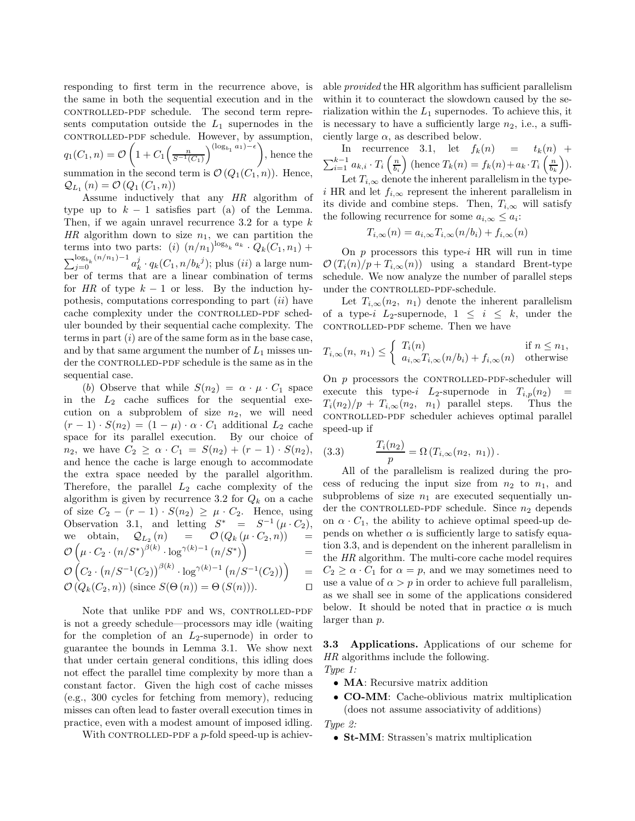responding to first term in the recurrence above, is the same in both the sequential execution and in the controlled-pdf schedule. The second term represents computation outside the  $L_1$  supernodes in the controlled-pdf schedule. However, by assumption,  $q_1(C_1, n) = \mathcal{O}\left(1 + C_1 \left(\frac{n}{S^{-1}(C_1)}\right)^{(\log_{b_1} a_1) - \epsilon}\right)$ , hence the summation in the second term is  $\mathcal{O}(Q_1(C_1, n))$ . Hence,  $Q_{L_1}(n) = O(Q_1(C_1, n))$ 

Assume inductively that any HR algorithm of type up to  $k - 1$  satisfies part (a) of the Lemma. Then, if we again unravel recurrence 3.2 for a type  $k$ HR algorithm down to size  $n_1$ , we can partition the terms into two parts: (i)  $(n/n_1)^{\log_{b_k} a_k} \cdot Q_k(C_1, n_1)$  +  $\sum_{j=0}^{\log_{b_k}(n/n_1)-1}a_k^j\cdot q_k(C_1,n/b_k^j);$  plus  $(ii)$  a large number of terms that are a linear combination of terms for HR of type  $k - 1$  or less. By the induction hypothesis, computations corresponding to part  $(ii)$  have cache complexity under the CONTROLLED-PDF scheduler bounded by their sequential cache complexity. The terms in part  $(i)$  are of the same form as in the base case, and by that same argument the number of  $L_1$  misses under the CONTROLLED-PDF schedule is the same as in the sequential case.

(b) Observe that while  $S(n_2) = \alpha \cdot \mu \cdot C_1$  space in the  $L_2$  cache suffices for the sequential execution on a subproblem of size  $n_2$ , we will need  $(r-1) \cdot S(n_2) = (1-\mu) \cdot \alpha \cdot C_1$  additional  $L_2$  cache space for its parallel execution. By our choice of  $n_2$ , we have  $C_2 \ge \alpha \cdot C_1 = S(n_2) + (r - 1) \cdot S(n_2)$ , and hence the cache is large enough to accommodate the extra space needed by the parallel algorithm. Therefore, the parallel  $L_2$  cache complexity of the algorithm is given by recurrence 3.2 for  $Q_k$  on a cache of size  $C_2 - (r - 1) \cdot S(n_2) \geq \mu \cdot C_2$ . Hence, using Observation 3.1, and letting  $S^* = S^{-1}(\mu \cdot C_2)$ , we obtain,  $\mathcal{Q}_{L_2}(n) = \mathcal{O}(Q_k(\mu \cdot C_2, n)) =$  $\mathcal{O}\left(\mu \cdot C_2 \cdot \left(n/S^*\right)^{\beta(k)} \cdot \log^{\gamma(k)-1}\left(n/S^*\right)\right)$ =  $\mathcal{O}\left(C_2 \cdot \left(n/S^{-1}(C_2)\right)^{\beta(k)} \cdot \log^{\gamma(k)-1}\left(n/S^{-1}(C_2)\right)\right)$ =

 $\mathcal{O}(Q_k(C_2, n))$  (since  $S(\Theta(n)) = \Theta(S(n))$ ). □

Note that unlike PDF and WS, CONTROLLED-PDF is not a greedy schedule—processors may idle (waiting for the completion of an  $L_2$ -supernode) in order to guarantee the bounds in Lemma 3.1. We show next that under certain general conditions, this idling does not effect the parallel time complexity by more than a constant factor. Given the high cost of cache misses (e.g., 300 cycles for fetching from memory), reducing misses can often lead to faster overall execution times in practice, even with a modest amount of imposed idling.

With CONTROLLED-PDF a  $p$ -fold speed-up is achiev-

able provided the HR algorithm has sufficient parallelism within it to counteract the slowdown caused by the serialization within the  $L_1$  supernodes. To achieve this, it is necessary to have a sufficiently large  $n_2$ , i.e., a sufficiently large  $\alpha$ , as described below.

In recurrence 3.1, let  $f_k(n) = t_k(n) +$  $\sum_{i=1}^{k-1} a_{k,i} \cdot T_i\left(\frac{n}{b_i}\right)$  (hence  $T_k(n) = f_k(n) + a_k \cdot T_i\left(\frac{n}{b_k}\right)$ ).

Let  $T_{i,\infty}$  denote the inherent parallelism in the typei HR and let  $f_{i,\infty}$  represent the inherent parallelism in its divide and combine steps. Then,  $T_{i,\infty}$  will satisfy the following recurrence for some  $a_{i,\infty} \leq a_i$ :

$$
T_{i,\infty}(n) = a_{i,\infty} T_{i,\infty}(n/b_i) + f_{i,\infty}(n)
$$

On  $p$  processors this type-i HR will run in time  $\mathcal{O}(T_i(n)/p + T_{i,\infty}(n))$  using a standard Brent-type schedule. We now analyze the number of parallel steps under the CONTROLLED-PDF-schedule.

Let  $T_{i,\infty}(n_2, n_1)$  denote the inherent parallelism of a type-i  $L_2$ -supernode,  $1 \leq i \leq k$ , under the controlled-pdf scheme. Then we have

$$
T_{i,\infty}(n, n_1) \leq \begin{cases} T_i(n) & \text{if } n \leq n_1, \\ a_{i,\infty} T_{i,\infty}(n/b_i) + f_{i,\infty}(n) & \text{otherwise} \end{cases}
$$

On  $p$  processors the CONTROLLED-PDF-scheduler will execute this type-i  $L_2$ -supernode in  $T_{i,p}(n_2)$  $T_i(n_2)/p + T_{i,\infty}(n_2, n_1)$  parallel steps. Thus the controlled-pdf scheduler achieves optimal parallel speed-up if

(3.3) 
$$
\frac{T_i(n_2)}{p} = \Omega(T_{i,\infty}(n_2, n_1)).
$$

All of the parallelism is realized during the process of reducing the input size from  $n_2$  to  $n_1$ , and subproblems of size  $n_1$  are executed sequentially under the CONTROLLED-PDF schedule. Since  $n_2$  depends on  $\alpha \cdot C_1$ , the ability to achieve optimal speed-up depends on whether  $\alpha$  is sufficiently large to satisfy equation 3.3, and is dependent on the inherent parallelism in the HR algorithm. The multi-core cache model requires  $C_2 \geq \alpha \cdot C_1$  for  $\alpha = p$ , and we may sometimes need to use a value of  $\alpha > p$  in order to achieve full parallelism, as we shall see in some of the applications considered below. It should be noted that in practice  $\alpha$  is much larger than p.

3.3 Applications. Applications of our scheme for HR algorithms include the following. Type 1:

- MA: Recursive matrix addition
- CO-MM: Cache-oblivious matrix multiplication (does not assume associativity of additions)

Type 2:

• St-MM: Strassen's matrix multiplication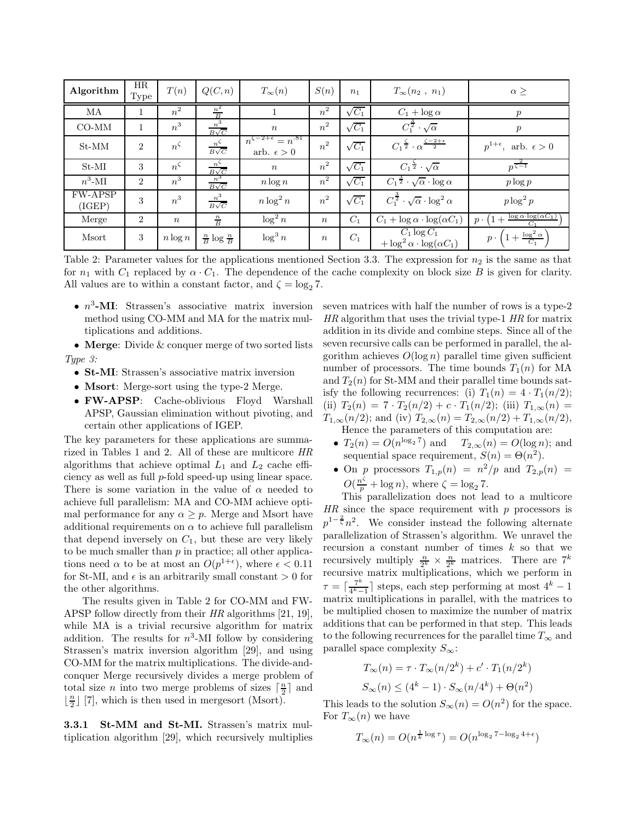| Algorithm                | HR<br>Type     | T(n)             | Q(C, n)                         | $T_\infty(n)$                                         | S(n)             | n <sub>1</sub> | $T_\infty(n_2, n_1)$                                            | $\alpha \geq$                                     |
|--------------------------|----------------|------------------|---------------------------------|-------------------------------------------------------|------------------|----------------|-----------------------------------------------------------------|---------------------------------------------------|
| MA                       |                | $\overline{n}^2$ | $rac{n^2}{B}$                   |                                                       | $n^2$            | $\sqrt{C_1}$   | $C_1 + \log \alpha$                                             | р                                                 |
| $CO-MM$                  | $\mathbf{1}$   | $n^3$            | $rac{n^3}{B\sqrt{C}}$           | $\boldsymbol{n}$                                      | $n^2$            | $\sqrt{C_1}$   | $C_1^{\frac{3}{2}}\cdot\sqrt{\alpha}$                           | $\boldsymbol{p}$                                  |
| $St-MM$                  | $\overline{2}$ | $n^{\varsigma}$  | $rac{n^{\zeta}}{B\sqrt{C}}$     | $n^{\zeta-2+\epsilon}=n^{.81}$<br>arb. $\epsilon > 0$ | $n^2$            | $\sqrt{C_1}$   | $C_1 \frac{\zeta}{2} \cdot \alpha^{\frac{\zeta-2+\epsilon}{2}}$ | $p^{1+\epsilon}$ , arb. $\epsilon > 0$            |
| $St-MI$                  | 3              | $n^{\zeta}$      | $rac{n^{\varsigma}}{B\sqrt{C}}$ | $\boldsymbol{n}$                                      | $n^2$            | $\sqrt{C_1}$   | $C_1^{\frac{5}{2}}\cdot\sqrt{\alpha}$                           | $p^{\frac{2}{\zeta-1}}$                           |
| $n^3$ -MI                | $\overline{2}$ | $n^3$            | $rac{n^3}{B\sqrt{C}}$           | $n \log n$                                            | $n^2$            | $\sqrt{C_1}$   | $C_1^{\frac{3}{2}}\cdot\sqrt{\alpha}\cdot\log\alpha$            | $p \log p$                                        |
| <b>FW-APSP</b><br>(IGEP) | 3              | $n^3$            | $\frac{n^3}{B\sqrt{C}}$         | $n \log^2 n$                                          | $n^2$            | $\sqrt{C_1}$   | $C_1^{\frac{3}{2}}\cdot\sqrt{\alpha}\cdot\log^2\alpha$          | $p \log^2 p$                                      |
| Merge                    | $\overline{2}$ | $\boldsymbol{n}$ | $\frac{n}{B}$                   | $\log^2 n$                                            | $\boldsymbol{n}$ | $C_1$          | $C_1 + \log \alpha \cdot \log(\alpha C_1)$                      | $\log \alpha \cdot \log(\alpha C_1)$<br>$p \cdot$ |
| Msort                    | 3              | $n \log n$       | $\frac{n}{B} \log \frac{n}{B}$  | $\log^3 n$                                            | $\boldsymbol{n}$ | $C_1$          | $C_1 \log C_1$<br>$+\log^2 \alpha \cdot \log(\alpha C_1)$       | $\frac{\log^2\alpha}{C_1}$<br>$p \cdot$           |

Table 2: Parameter values for the applications mentioned Section 3.3. The expression for  $n_2$  is the same as that for  $n_1$  with  $C_1$  replaced by  $\alpha \cdot C_1$ . The dependence of the cache complexity on block size B is given for clarity. All values are to within a constant factor, and  $\zeta = \log_2 7$ .

•  $n^3$ -MI: Strassen's associative matrix inversion method using CO-MM and MA for the matrix multiplications and additions.

• Merge: Divide & conquer merge of two sorted lists Type 3:

- St-MI: Strassen's associative matrix inversion
- Msort: Merge-sort using the type-2 Merge.
- FW-APSP: Cache-oblivious Floyd Warshall APSP, Gaussian elimination without pivoting, and certain other applications of IGEP.

The key parameters for these applications are summarized in Tables 1 and 2. All of these are multicore HR algorithms that achieve optimal  $L_1$  and  $L_2$  cache efficiency as well as full p-fold speed-up using linear space. There is some variation in the value of  $\alpha$  needed to achieve full parallelism: MA and CO-MM achieve optimal performance for any  $\alpha > p$ . Merge and Msort have additional requirements on  $\alpha$  to achieve full parallelism that depend inversely on  $C_1$ , but these are very likely to be much smaller than  $p$  in practice; all other applications need  $\alpha$  to be at most an  $O(p^{1+\epsilon})$ , where  $\epsilon < 0.11$ for St-MI, and  $\epsilon$  is an arbitrarily small constant  $> 0$  for the other algorithms.

The results given in Table 2 for CO-MM and FW-APSP follow directly from their HR algorithms [21, 19], while MA is a trivial recursive algorithm for matrix addition. The results for  $n^3$ -MI follow by considering Strassen's matrix inversion algorithm [29], and using CO-MM for the matrix multiplications. The divide-andconquer Merge recursively divides a merge problem of total size *n* into two merge problems of sizes  $\lceil \frac{n}{2} \rceil$  and  $\lfloor \frac{n}{2} \rfloor$  [7], which is then used in mergesort (Msort).

3.3.1 St-MM and St-MI. Strassen's matrix multiplication algorithm [29], which recursively multiplies seven matrices with half the number of rows is a type-2 HR algorithm that uses the trivial type-1 HR for matrix addition in its divide and combine steps. Since all of the seven recursive calls can be performed in parallel, the algorithm achieves  $O(\log n)$  parallel time given sufficient number of processors. The time bounds  $T_1(n)$  for MA and  $T_2(n)$  for St-MM and their parallel time bounds satisfy the following recurrences: (i)  $T_1(n) = 4 \cdot T_1(n/2)$ ; (ii)  $T_2(n) = 7 \cdot T_2(n/2) + c \cdot T_1(n/2)$ ; (iii)  $T_{1,\infty}(n) =$  $T_{1,\infty}(n/2)$ ; and (iv)  $T_{2,\infty}(n) = T_{2,\infty}(n/2) + T_{1,\infty}(n/2)$ , Hence the parameters of this computation are:

- $T_2(n) = O(n^{\log_2 7})$  and  $T_{2,\infty}(n) = O(\log n)$ ; and sequential space requirement,  $S(n) = \Theta(n^2)$ .
- On  $p \text{ processors } T_{1,p}(n) = n^2/p \text{ and } T_{2,p}(n) =$  $O(\frac{n^{\zeta}}{p} + \log n)$ , where  $\zeta = \log_2 7$ .

This parallelization does not lead to a multicore  $HR$  since the space requirement with p processors is  $p^{1-\frac{2}{\zeta}}n^2$ . We consider instead the following alternate parallelization of Strassen's algorithm. We unravel the recursion a constant number of times  $k$  so that we recursively multiply  $\frac{n}{2^k} \times \frac{n}{2^k}$  matrices. There are  $7^k$ recursive matrix multiplications, which we perform in  $\tau = \lceil \frac{7^k}{4^k - 1} \rceil$  $\frac{7^k}{4^k-1}$  steps, each step performing at most  $4^k-1$ matrix multiplications in parallel, with the matrices to be multiplied chosen to maximize the number of matrix additions that can be performed in that step. This leads to the following recurrences for the parallel time  $T_{\infty}$  and parallel space complexity  $S_{\infty}$ :

$$
T_{\infty}(n) = \tau \cdot T_{\infty}(n/2^k) + c' \cdot T_1(n/2^k)
$$

$$
S_{\infty}(n) \le (4^k - 1) \cdot S_{\infty}(n/4^k) + \Theta(n^2)
$$

This leads to the solution  $S_{\infty}(n) = O(n^2)$  for the space. For  $T_\infty(n)$  we have

$$
T_{\infty}(n) = O(n^{\frac{1}{k}\log \tau}) = O(n^{\log_2 7 - \log_2 4 + \epsilon})
$$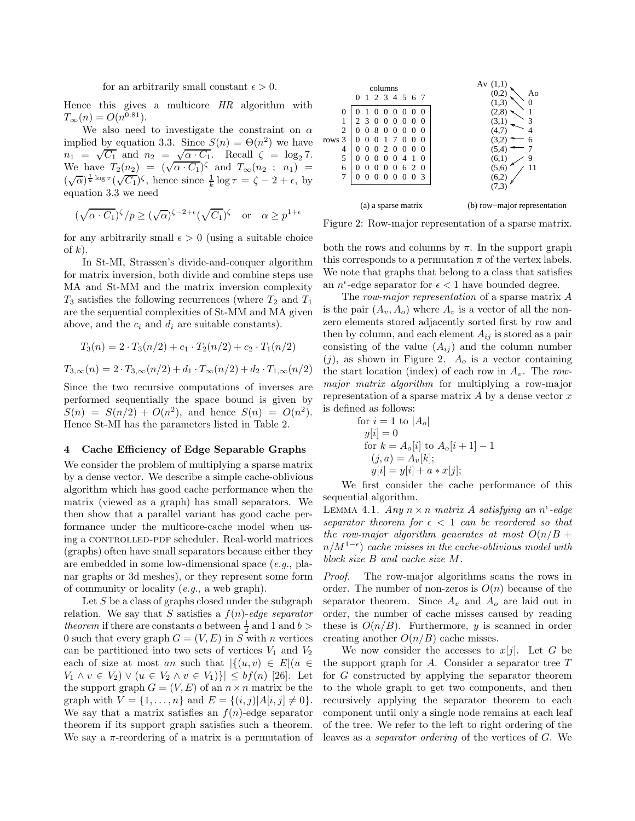#### for an arbitrarily small constant  $\epsilon > 0$ .

Hence this gives a multicore HR algorithm with  $T_{\infty}(n) = O(n^{0.81}).$ 

We also need to investigate the constraint on  $\alpha$ implied by equation 3.3. Since  $S(n) = \Theta(n^2)$  we have  $n_1 = \sqrt{C_1}$  and  $n_2 = \sqrt{\alpha \cdot C_1}$ . Recall  $\zeta = \log_2 7$ . We have  $T_2(n_2) = (\sqrt{\alpha \cdot C_1})^{\zeta}$  and  $T_{\infty}(n_2 ; n_1) =$  $(\sqrt{\alpha})^{\frac{1}{k} \log \tau} (\sqrt{C_1})^{\zeta}$ , hence since  $\frac{1}{k} \log \tau = \zeta - 2 + \epsilon$ , by equation 3.3 we need

$$
(\sqrt{\alpha \cdot C_1})^{\zeta}/p \ge (\sqrt{\alpha})^{\zeta - 2 + \epsilon} (\sqrt{C_1})^{\zeta} \quad \text{or} \quad \alpha \ge p^{1 + \epsilon}
$$

for any arbitrarily small  $\epsilon > 0$  (using a suitable choice of  $k$ ).

In St-MI, Strassen's divide-and-conquer algorithm for matrix inversion, both divide and combine steps use MA and St-MM and the matrix inversion complexity  $T_3$  satisfies the following recurrences (where  $T_2$  and  $T_1$ are the sequential complexities of St-MM and MA given above, and the  $c_i$  and  $d_i$  are suitable constants).

$$
T_3(n) = 2 \cdot T_3(n/2) + c_1 \cdot T_2(n/2) + c_2 \cdot T_1(n/2)
$$
  

$$
T_{3,\infty}(n) = 2 \cdot T_{3,\infty}(n/2) + d_1 \cdot T_{\infty}(n/2) + d_2 \cdot T_{1,\infty}(n/2)
$$

Since the two recursive computations of inverses are performed sequentially the space bound is given by  $S(n) = S(n/2) + O(n^2)$ , and hence  $S(n) = O(n^2)$ . Hence St-MI has the parameters listed in Table 2.

# 4 Cache Efficiency of Edge Separable Graphs

We consider the problem of multiplying a sparse matrix by a dense vector. We describe a simple cache-oblivious algorithm which has good cache performance when the matrix (viewed as a graph) has small separators. We then show that a parallel variant has good cache performance under the multicore-cache model when using a CONTROLLED-PDF scheduler. Real-world matrices (graphs) often have small separators because either they are embedded in some low-dimensional space (e.g., planar graphs or 3d meshes), or they represent some form of community or locality  $(e.g., a web graph).$ 

Let  $S$  be a class of graphs closed under the subgraph relation. We say that S satisfies a  $f(n)$ -edge separator *theorem* if there are constants a between  $\frac{1}{2}$  and 1 and b > 0 such that every graph  $G = (V, E)$  in S with n vertices can be partitioned into two sets of vertices  $V_1$  and  $V_2$ each of size at most an such that  $|\{(u, v) \in E | (u \in$  $V_1 \wedge v \in V_2$ )  $\vee (u \in V_2 \wedge v \in V_1)\$   $\leq bf(n)$  [26]. Let the support graph  $G = (V, E)$  of an  $n \times n$  matrix be the graph with  $V = \{1, ..., n\}$  and  $E = \{(i, j) | A[i, j] \neq 0\}.$ We say that a matrix satisfies an  $f(n)$ -edge separator theorem if its support graph satisfies such a theorem. We say a  $\pi$ -reordering of a matrix is a permutation of



Figure 2: Row-major representation of a sparse matrix.

both the rows and columns by  $\pi$ . In the support graph this corresponds to a permutation  $\pi$  of the vertex labels. We note that graphs that belong to a class that satisfies an  $n^{\epsilon}$ -edge separator for  $\epsilon$  < 1 have bounded degree.

The row-major representation of a sparse matrix A is the pair  $(A_v, A_o)$  where  $A_v$  is a vector of all the nonzero elements stored adjacently sorted first by row and then by column, and each element  $A_{ij}$  is stored as a pair consisting of the value  $(A_{ij})$  and the column number  $(j)$ , as shown in Figure 2.  $A_o$  is a vector containing the start location (index) of each row in  $A_v$ . The rowmajor matrix algorithm for multiplying a row-major representation of a sparse matrix  $A$  by a dense vector  $x$ is defined as follows:

for 
$$
i = 1
$$
 to  $|A_o|$   
\n $y[i] = 0$   
\nfor  $k = A_o[i]$  to  $A_o[i + 1] - 1$   
\n $(j, a) = A_v[k];$   
\n $y[i] = y[i] + a * x[j];$ 

We first consider the cache performance of this sequential algorithm.

LEMMA 4.1. Any  $n \times n$  matrix A satisfying an  $n^{\epsilon}$ -edge separator theorem for  $\epsilon < 1$  can be reordered so that the row-major algorithm generates at most  $O(n/B +$  $n/M^{1-\epsilon})$  cache misses in the cache-oblivious model with block size B and cache size M.

Proof. The row-major algorithms scans the rows in order. The number of non-zeros is  $O(n)$  because of the separator theorem. Since  $A_v$  and  $A_o$  are laid out in order, the number of cache misses caused by reading these is  $O(n/B)$ . Furthermore, y is scanned in order creating another  $O(n/B)$  cache misses.

We now consider the accesses to  $x[j]$ . Let G be the support graph for  $A$ . Consider a separator tree  $T$ for G constructed by applying the separator theorem to the whole graph to get two components, and then recursively applying the separator theorem to each component until only a single node remains at each leaf of the tree. We refer to the left to right ordering of the leaves as a separator ordering of the vertices of G. We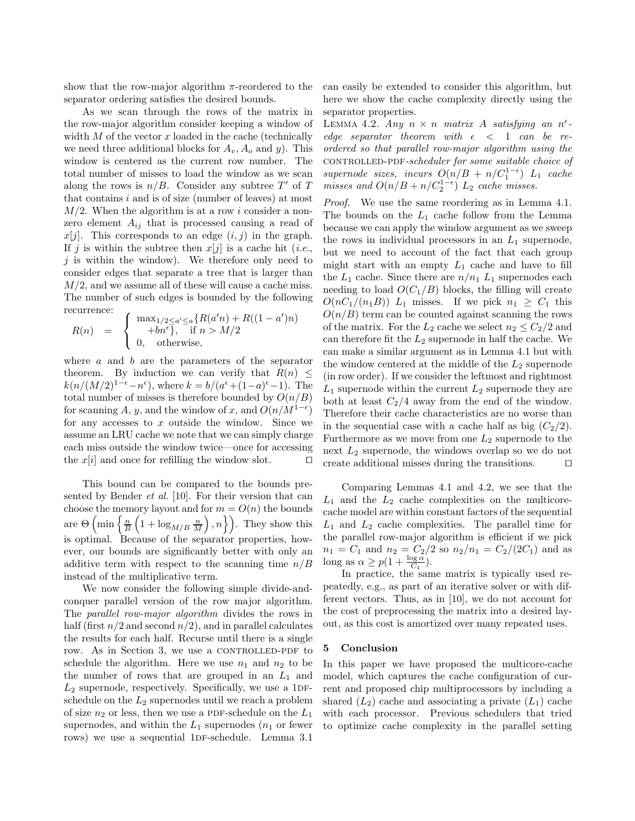show that the row-major algorithm  $\pi$ -reordered to the separator ordering satisfies the desired bounds.

As we scan through the rows of the matrix in the row-major algorithm consider keeping a window of width  $M$  of the vector  $x$  loaded in the cache (technically we need three additional blocks for  $A_v$ ,  $A_o$  and y). This window is centered as the current row number. The total number of misses to load the window as we scan along the rows is  $n/B$ . Consider any subtree T' of T that contains  $i$  and is of size (number of leaves) at most  $M/2$ . When the algorithm is at a row i consider a nonzero element  $A_{ij}$  that is processed causing a read of  $x[j]$ . This corresponds to an edge  $(i, j)$  in the graph. If j is within the subtree then  $x[j]$  is a cache hit (*i.e.*,  $j$  is within the window). We therefore only need to consider edges that separate a tree that is larger than  $M/2$ , and we assume all of these will cause a cache miss. The number of such edges is bounded by the following recurrence:

$$
R(n) = \begin{cases} \max_{1/2 \le a' \le a} \{ R(a'n) + R((1 - a')n) \\ +bn^{\epsilon} \}, & \text{if } n > M/2 \\ 0, & \text{otherwise,} \end{cases}
$$

where  $a$  and  $b$  are the parameters of the separator theorem. By induction we can verify that  $R(n) \leq$  $k(n/(M/2)^{1-\epsilon} - n^{\epsilon})$ , where  $k = b/(a^{\epsilon} + (1-a)^{\epsilon} - 1)$ . The total number of misses is therefore bounded by  $O(n/B)$ for scanning A, y, and the window of x, and  $O(n/M^{1-\epsilon})$ for any accesses to  $x$  outside the window. Since we assume an LRU cache we note that we can simply charge each miss outside the window twice—once for accessing the x[i] and once for refilling the window slot. □

This bound can be compared to the bounds presented by Bender et al. [10]. For their version that can choose the memory layout and for  $m = O(n)$  the bounds are  $\Theta\left(\min\left\{\frac{n}{B}\left(1+\log_{M/B}\frac{n}{M}\right),n\right\}\right)$ . They show this is optimal. Because of the separator properties, however, our bounds are significantly better with only an additive term with respect to the scanning time  $n/B$ instead of the multiplicative term.

We now consider the following simple divide-andconquer parallel version of the row major algorithm. The parallel row-major algorithm divides the rows in half (first  $n/2$  and second  $n/2$ ), and in parallel calculates the results for each half. Recurse until there is a single row. As in Section 3, we use a CONTROLLED-PDF to schedule the algorithm. Here we use  $n_1$  and  $n_2$  to be the number of rows that are grouped in an  $L_1$  and  $L_2$  supernode, respectively. Specifically, we use a 1DFschedule on the  $L_2$  supernodes until we reach a problem of size  $n_2$  or less, then we use a PDF-schedule on the  $L_1$ supernodes, and within the  $L_1$  supernodes  $(n_1$  or fewer rows) we use a sequential 1DF-schedule. Lemma 3.1

can easily be extended to consider this algorithm, but here we show the cache complexity directly using the separator properties.

LEMMA 4.2. Any  $n \times n$  matrix A satisfying an  $n^{\epsilon}$ edge separator theorem with  $\epsilon$   $<$  1 can be reordered so that parallel row-major algorithm using the controlled-pdf-scheduler for some suitable choice of supernode sizes, incurs  $O(n/B + n/C_1^{1-\epsilon})$   $L_1$  cache misses and  $O(n/B + n/C_2^{1-\epsilon})$   $L_2$  cache misses.

Proof. We use the same reordering as in Lemma 4.1. The bounds on the  $L_1$  cache follow from the Lemma because we can apply the window argument as we sweep the rows in individual processors in an  $L_1$  supernode, but we need to account of the fact that each group might start with an empty  $L_1$  cache and have to fill the  $L_1$  cache. Since there are  $n/n_1$   $L_1$  supernodes each needing to load  $O(C_1/B)$  blocks, the filling will create  $O(nC_1/(n_1B))$  L<sub>1</sub> misses. If we pick  $n_1 \geq C_1$  this  $O(n/B)$  term can be counted against scanning the rows of the matrix. For the  $L_2$  cache we select  $n_2 \leq C_2/2$  and can therefore fit the  $L_2$  supernode in half the cache. We can make a similar argument as in Lemma 4.1 but with the window centered at the middle of the  $L_2$  supernode (in row order). If we consider the leftmost and rightmost  $L_1$  supernode within the current  $L_2$  supernode they are both at least  $C_2/4$  away from the end of the window. Therefore their cache characteristics are no worse than in the sequential case with a cache half as big  $(C_2/2)$ . Furthermore as we move from one  $L_2$  supernode to the next  $L_2$  supernode, the windows overlap so we do not create additional misses during the transitions. ⊓⊔

Comparing Lemmas 4.1 and 4.2, we see that the  $L_1$  and the  $L_2$  cache complexities on the multicorecache model are within constant factors of the sequential  $L_1$  and  $L_2$  cache complexities. The parallel time for the parallel row-major algorithm is efficient if we pick  $n_1 = C_1$  and  $n_2 = C_2/2$  so  $n_2/n_1 = C_2/(2C_1)$  and as long as  $\alpha \ge p(1 + \frac{\log \alpha}{C_1}).$ 

In practice, the same matrix is typically used repeatedly, e.g., as part of an iterative solver or with different vectors. Thus, as in [10], we do not account for the cost of preprocessing the matrix into a desired layout, as this cost is amortized over many repeated uses.

# 5 Conclusion

In this paper we have proposed the multicore-cache model, which captures the cache configuration of current and proposed chip multiprocessors by including a shared  $(L_2)$  cache and associating a private  $(L_1)$  cache with each processor. Previous schedulers that tried to optimize cache complexity in the parallel setting